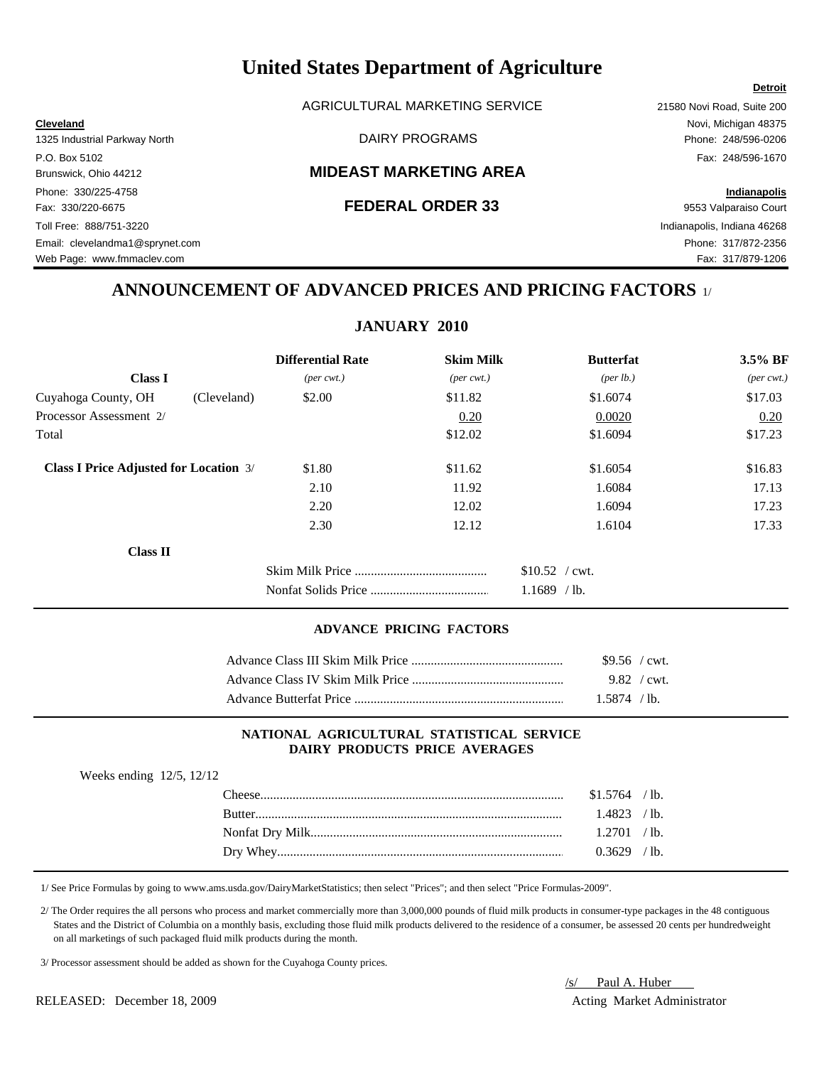AGRICULTURAL MARKETING SERVICE 21580 Novi Road, Suite 200

## Brunswick, Ohio 44212 **MIDEAST MARKETING AREA**

### Fax: 330/220-6675 **FEDERAL ORDER 33** 9553 Valparaiso Court

**Cleveland** Novi, Michigan 48375 1325 Industrial Parkway North DAIRY PROGRAMS Phone: 248/596-0206 P.O. Box 5102 Fax: 248/596-1670

Phone: 330/225-4758 **Indianapolis**

**Detroit**

Toll Free: 888/751-3220 Indianapolis, Indiana 46268 Email: clevelandma1@sprynet.com Phone: 317/872-2356 Web Page: www.fmmaclev.com **Fax: 317/879-1206** 

## **ANNOUNCEMENT OF ADVANCED PRICES AND PRICING FACTORS** 1/

**JANUARY 2010**

|                                               | <b>Differential Rate</b>    | <b>Skim Milk</b>            | <b>Butterfat</b>  | 3.5% BF                     |
|-----------------------------------------------|-----------------------------|-----------------------------|-------------------|-----------------------------|
| <b>Class I</b>                                | $(\text{per} \text{ cwt.})$ | $(\text{per} \text{ cwt.})$ | (per lb.)         | $(\text{per} \text{ cwt.})$ |
| Cuyahoga County, OH<br>(Cleveland)            | \$2.00                      | \$11.82                     | \$1.6074          | \$17.03                     |
| Processor Assessment 2/                       |                             | 0.20                        | 0.0020            | 0.20                        |
| Total                                         |                             | \$12.02                     | \$1.6094          | \$17.23                     |
| <b>Class I Price Adjusted for Location 3/</b> | \$1.80                      | \$11.62                     | \$1.6054          | \$16.83                     |
|                                               | 2.10                        | 11.92                       | 1.6084            | 17.13                       |
|                                               | 2.20                        | 12.02                       | 1.6094            | 17.23                       |
|                                               | 2.30                        | 12.12                       | 1.6104            | 17.33                       |
| <b>Class II</b>                               |                             |                             |                   |                             |
|                                               |                             |                             | $$10.52$ / cwt.   |                             |
|                                               |                             |                             | 1.1689<br>$/$ lb. |                             |

## **ADVANCE PRICING FACTORS**

| $$9.56$ / cwt. |
|----------------|
| 9.82 / cwt.    |
| $1.5874$ / lb. |

#### **NATIONAL AGRICULTURAL STATISTICAL SERVICE DAIRY PRODUCTS PRICE AVERAGES**

| $$1.5764$ / lb. |  |
|-----------------|--|
| $1.4823$ /lb.   |  |
|                 |  |
| $0.3629$ /lb.   |  |

1/ See Price Formulas by going to www.ams.usda.gov/DairyMarketStatistics; then select "Prices"; and then select "Price Formulas-2009".

 2/ The Order requires the all persons who process and market commercially more than 3,000,000 pounds of fluid milk products in consumer-type packages in the 48 contiguous States and the District of Columbia on a monthly basis, excluding those fluid milk products delivered to the residence of a consumer, be assessed 20 cents per hundredweight on all marketings of such packaged fluid milk products during the month.

3/ Processor assessment should be added as shown for the Cuyahoga County prices.

RELEASED: December 18, 2009 **Acting Market Administrator** Acting Market Administrator

/s/ Paul A. Huber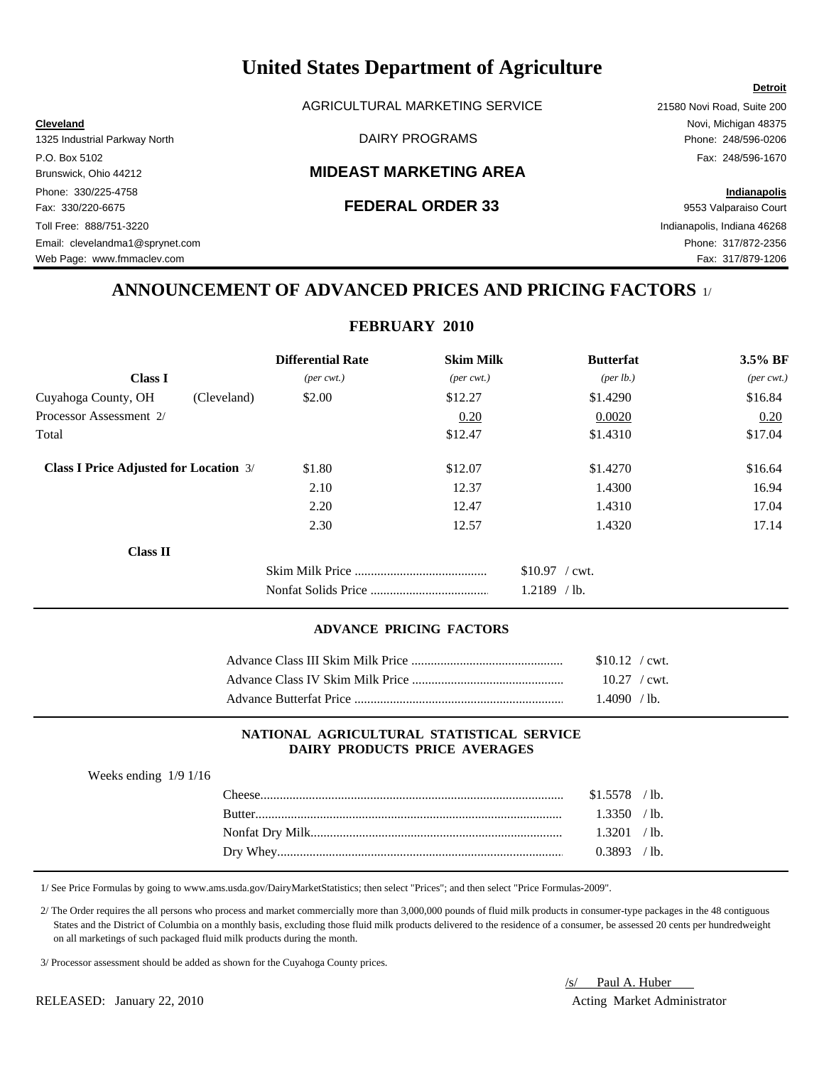AGRICULTURAL MARKETING SERVICE 21580 Novi Road, Suite 200

## Brunswick, Ohio 44212 **MIDEAST MARKETING AREA**

### Fax: 330/220-6675 **FEDERAL ORDER 33** 9553 Valparaiso Court

## **ANNOUNCEMENT OF ADVANCED PRICES AND PRICING FACTORS** 1/

**FEBRUARY 2010**

|                                               | <b>Differential Rate</b>    | <b>Skim Milk</b>            | <b>Butterfat</b>  | 3.5% BF                     |
|-----------------------------------------------|-----------------------------|-----------------------------|-------------------|-----------------------------|
| <b>Class I</b>                                | $(\text{per} \text{ cwt.})$ | $(\text{per} \text{ cwt.})$ | (per lb.)         | $(\text{per} \text{ cwt.})$ |
| Cuyahoga County, OH<br>(Cleveland)            | \$2.00                      | \$12.27                     | \$1.4290          | \$16.84                     |
| Processor Assessment 2/                       |                             | 0.20                        | 0.0020            | 0.20                        |
| Total                                         |                             | \$12.47                     | \$1.4310          | \$17.04                     |
| <b>Class I Price Adjusted for Location 3/</b> | \$1.80                      | \$12.07                     | \$1.4270          | \$16.64                     |
|                                               | 2.10                        | 12.37                       | 1.4300            | 16.94                       |
|                                               | 2.20                        | 12.47                       | 1.4310            | 17.04                       |
|                                               | 2.30                        | 12.57                       | 1.4320            | 17.14                       |
| <b>Class II</b>                               |                             |                             |                   |                             |
|                                               |                             |                             | $$10.97$ / cwt.   |                             |
|                                               |                             |                             | 1.2189<br>$/$ lb. |                             |

### **ADVANCE PRICING FACTORS**

| $$10.12$ / cwt.        |
|------------------------|
| $10.27 / \text{cwt}$ . |
| $1.4090 / h$ .         |

#### **NATIONAL AGRICULTURAL STATISTICAL SERVICE DAIRY PRODUCTS PRICE AVERAGES**

| Weeks ending $1/9$ 1/16 |  |  |
|-------------------------|--|--|
|-------------------------|--|--|

| 1.3350 / h    |  |
|---------------|--|
|               |  |
| $0.3893$ /lb. |  |

1/ See Price Formulas by going to www.ams.usda.gov/DairyMarketStatistics; then select "Prices"; and then select "Price Formulas-2009".

 2/ The Order requires the all persons who process and market commercially more than 3,000,000 pounds of fluid milk products in consumer-type packages in the 48 contiguous States and the District of Columbia on a monthly basis, excluding those fluid milk products delivered to the residence of a consumer, be assessed 20 cents per hundredweight on all marketings of such packaged fluid milk products during the month.

3/ Processor assessment should be added as shown for the Cuyahoga County prices.

RELEASED: January 22, 2010 **Acting Market Administrator** Acting Market Administrator

/s/ Paul A. Huber

#### **Cleveland** Novi, Michigan 48375 1325 Industrial Parkway North DAIRY PROGRAMS Phone: 248/596-0206

P.O. Box 5102 Fax: 248/596-1670 Phone: 330/225-4758 **Indianapolis** Toll Free: 888/751-3220 Indianapolis, Indiana 46268 Email: clevelandma1@sprynet.com Phone: 317/872-2356

Web Page: www.fmmaclev.com **Fax: 317/879-1206** 

## **Detroit**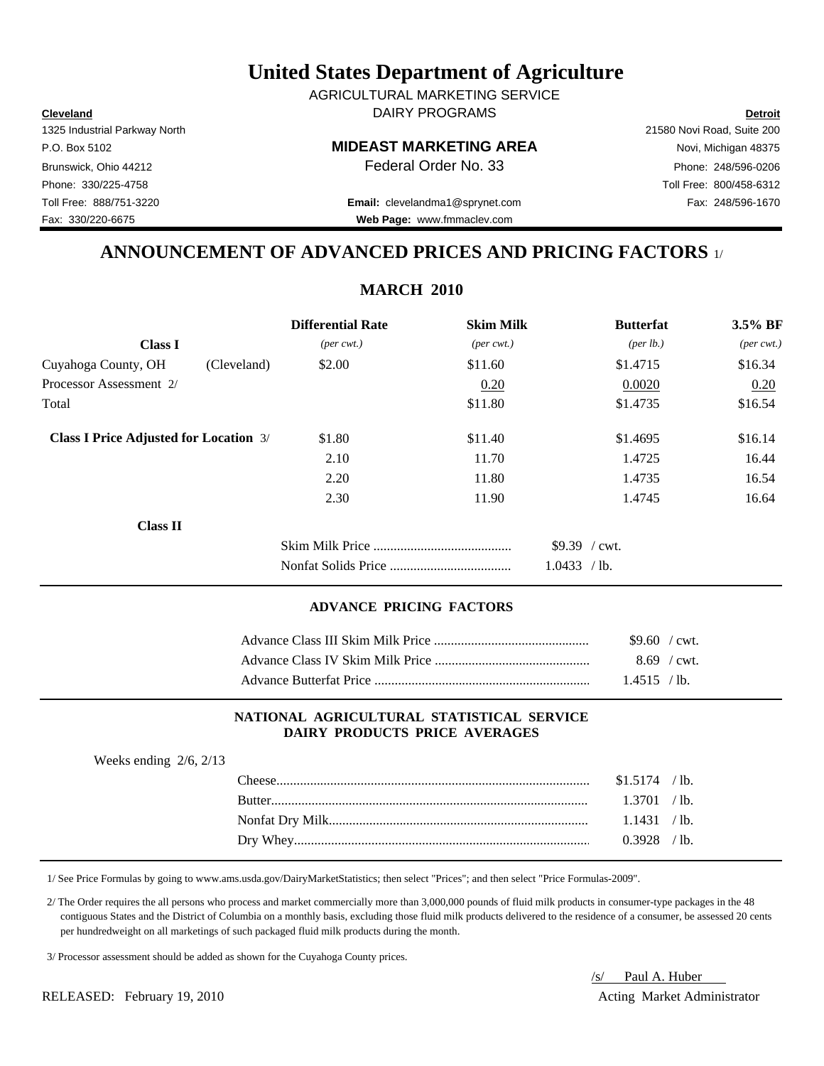**Cleveland Detroit** DAIRY PROGRAMS AGRICULTURAL MARKETING SERVICE

## P.O. Box 5102 **MIDEAST MARKETING AREA** Novi, Michigan 48375

Toll Free: 888/751-3220 Fax: 248/596-1670 **Email:** clevelandma1@sprynet.com **Web Page:** www.fmmaclev.com

## **ANNOUNCEMENT OF ADVANCED PRICES AND PRICING FACTORS** 1/

**MARCH 2010**

|                                               | <b>Differential Rate</b>    | <b>Skim Milk</b>            | <b>Butterfat</b>     | 3.5% BF    |
|-----------------------------------------------|-----------------------------|-----------------------------|----------------------|------------|
| <b>Class I</b>                                | $(\text{per} \text{ cwt.})$ | $(\text{per} \text{ cwt.})$ | ${\rm (per \, lb.)}$ | (per cwt.) |
| Cuyahoga County, OH                           | \$2.00<br>(Cleveland)       | \$11.60                     | \$1.4715             | \$16.34    |
| Processor Assessment 2/                       |                             | 0.20                        | 0.0020               | 0.20       |
| Total                                         |                             | \$11.80                     | \$1.4735             | \$16.54    |
| <b>Class I Price Adjusted for Location 3/</b> | \$1.80                      | \$11.40                     | \$1.4695             | \$16.14    |
|                                               | 2.10                        | 11.70                       | 1.4725               | 16.44      |
|                                               | 2.20                        | 11.80                       | 1.4735               | 16.54      |
|                                               | 2.30                        | 11.90                       | 1.4745               | 16.64      |
| <b>Class II</b>                               |                             |                             |                      |            |
|                                               |                             |                             | $$9.39$ / cwt.       |            |
|                                               |                             |                             | 1.0433 / lb.         |            |

#### **ADVANCE PRICING FACTORS**

| $$9.60$ / cwt. |  |
|----------------|--|
| $8.69$ / cwt.  |  |
| $1.4515 / h$ . |  |

### **NATIONAL AGRICULTURAL STATISTICAL SERVICE DAIRY PRODUCTS PRICE AVERAGES**

| Weeks ending $2/6$ , $2/13$ |                |  |
|-----------------------------|----------------|--|
|                             | $$1.5174$ /lb. |  |
|                             | 1.3701 / lb.   |  |
|                             | 1.1431 / lb.   |  |
|                             | $0.3928$ /lb.  |  |
|                             |                |  |

1/ See Price Formulas by going to www.ams.usda.gov/DairyMarketStatistics; then select "Prices"; and then select "Price Formulas-2009".

 2/ The Order requires the all persons who process and market commercially more than 3,000,000 pounds of fluid milk products in consumer-type packages in the 48 contiguous States and the District of Columbia on a monthly basis, excluding those fluid milk products delivered to the residence of a consumer, be assessed 20 cents per hundredweight on all marketings of such packaged fluid milk products during the month.

3/ Processor assessment should be added as shown for the Cuyahoga County prices.

RELEASED: February 19, 2010 **Acting Market Administrator** Acting Market Administrator

/s/ Paul A. Huber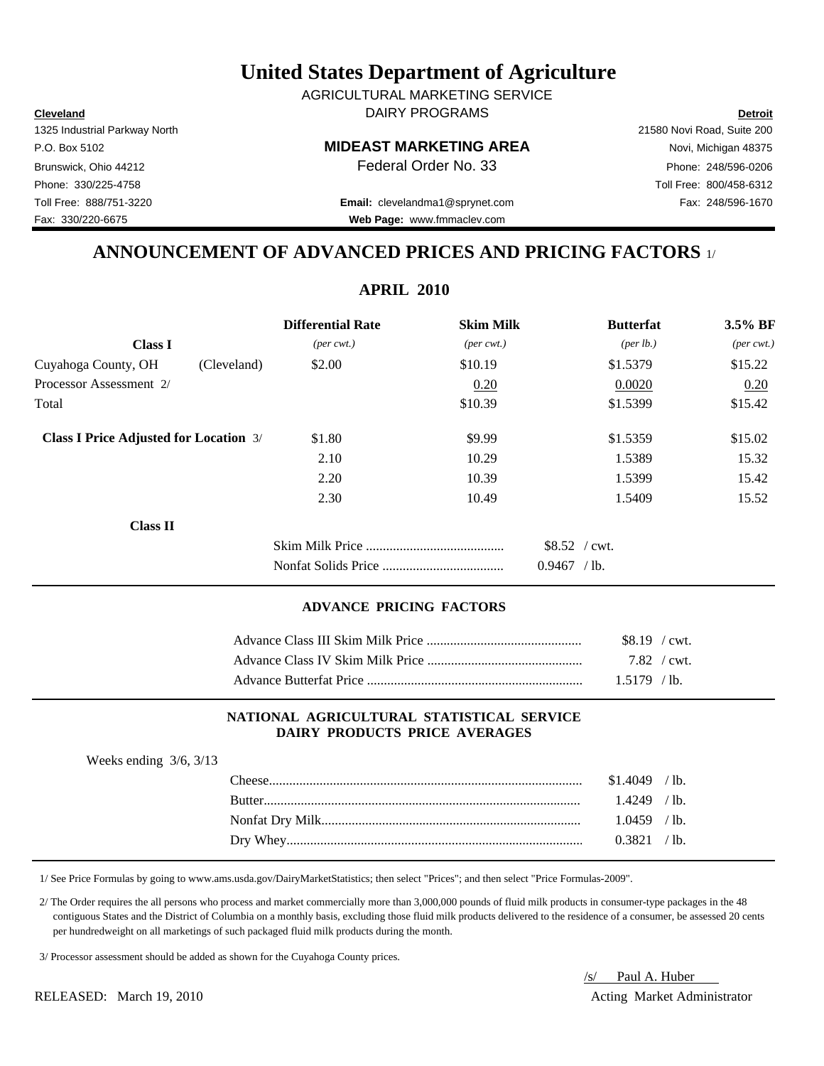**Cleveland Detroit** DAIRY PROGRAMS AGRICULTURAL MARKETING SERVICE

## P.O. Box 5102 **MIDEAST MARKETING AREA** Novi, Michigan 48375

Toll Free: 888/751-3220 Fax: 248/596-1670 **Email:** clevelandma1@sprynet.com **Web Page:** www.fmmaclev.com

1325 Industrial Parkway North 21580 Novi Road, Suite 200 Brunswick, Ohio 44212 **Phone: 248/596-0206 Federal Order No. 33** Phone: 248/596-0206 Phone: 330/225-4758 Toll Free: 800/458-6312

## **ANNOUNCEMENT OF ADVANCED PRICES AND PRICING FACTORS** 1/

**APRIL 2010**

|                                               |             | <b>Differential Rate</b>    | <b>Skim Milk</b>            | <b>Butterfat</b>     | $3.5\%$ BF                  |
|-----------------------------------------------|-------------|-----------------------------|-----------------------------|----------------------|-----------------------------|
| <b>Class I</b>                                |             | $(\text{per} \text{ cwt.})$ | $(\text{per} \text{ cwt.})$ | ${\rm (per \, lb.)}$ | $(\text{per} \text{ cwt.})$ |
| Cuyahoga County, OH                           | (Cleveland) | \$2.00                      | \$10.19                     | \$1.5379             | \$15.22                     |
| Processor Assessment 2/                       |             |                             | 0.20                        | 0.0020               | 0.20                        |
| Total                                         |             |                             | \$10.39                     | \$1.5399             | \$15.42                     |
| <b>Class I Price Adjusted for Location 3/</b> |             | \$1.80                      | \$9.99                      | \$1.5359             | \$15.02                     |
|                                               |             | 2.10                        | 10.29                       | 1.5389               | 15.32                       |
|                                               |             | 2.20                        | 10.39                       | 1.5399               | 15.42                       |
|                                               |             | 2.30                        | 10.49                       | 1.5409               | 15.52                       |
| <b>Class II</b>                               |             |                             |                             |                      |                             |
|                                               |             |                             |                             | $$8.52$ / cwt.       |                             |
|                                               |             |                             |                             | $0.9467$ /lb.        |                             |
|                                               |             |                             |                             |                      |                             |

#### **ADVANCE PRICING FACTORS**

| \$8.19 / cwt. |  |
|---------------|--|
| 7.82 / cwt.   |  |
| $1.5179$ /lb. |  |

### **NATIONAL AGRICULTURAL STATISTICAL SERVICE DAIRY PRODUCTS PRICE AVERAGES**

| Weeks ending $3/6$ , $3/13$ |                |  |
|-----------------------------|----------------|--|
|                             | $$1.4049$ /lb. |  |
|                             | $1.4249$ /lb.  |  |
|                             | $1.0459$ /lb.  |  |
|                             | 0.3821 / lb.   |  |
|                             |                |  |

1/ See Price Formulas by going to www.ams.usda.gov/DairyMarketStatistics; then select "Prices"; and then select "Price Formulas-2009".

 2/ The Order requires the all persons who process and market commercially more than 3,000,000 pounds of fluid milk products in consumer-type packages in the 48 contiguous States and the District of Columbia on a monthly basis, excluding those fluid milk products delivered to the residence of a consumer, be assessed 20 cents per hundredweight on all marketings of such packaged fluid milk products during the month.

3/ Processor assessment should be added as shown for the Cuyahoga County prices.

RELEASED: March 19, 2010 **Acting Market Administrator** Acting Market Administrator

# /s/ Paul A. Huber

Fax: 330/220-6675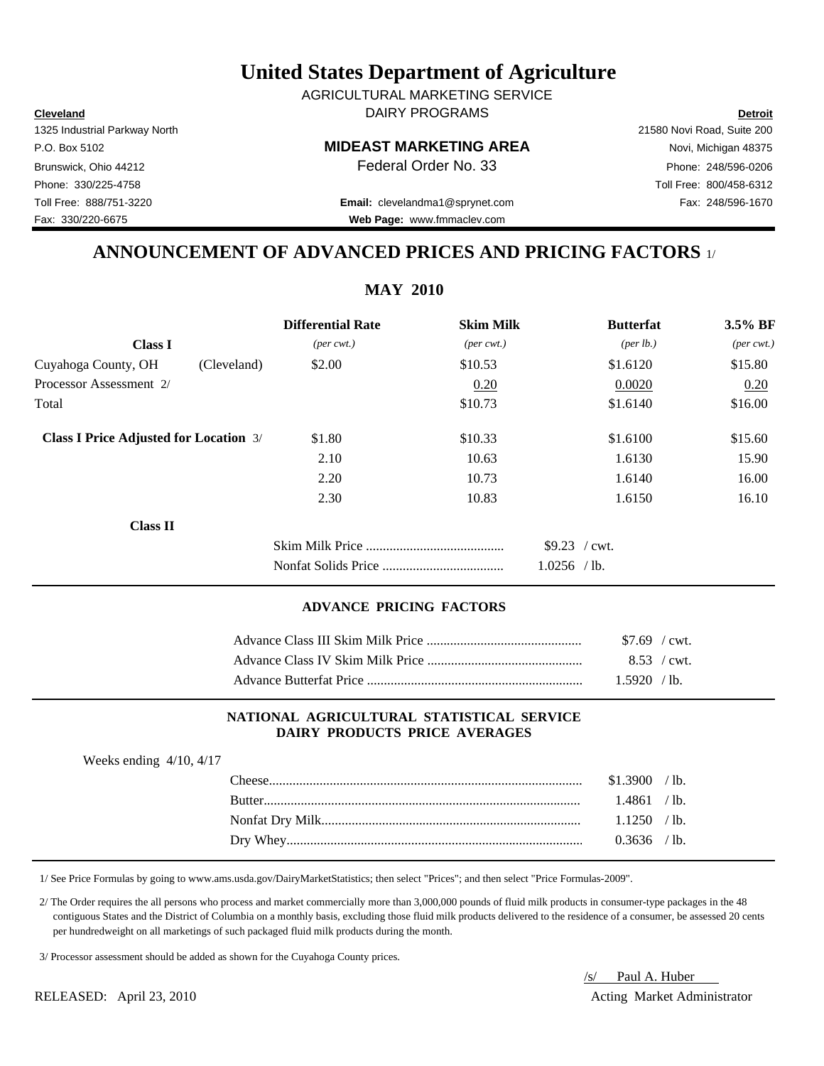**Cleveland Detroit** DAIRY PROGRAMS AGRICULTURAL MARKETING SERVICE

## P.O. Box 5102 **MIDEAST MARKETING AREA** Novi, Michigan 48375

Toll Free: 888/751-3220 Fax: 248/596-1670 **Email:** clevelandma1@sprynet.com

## **ANNOUNCEMENT OF ADVANCED PRICES AND PRICING FACTORS** 1/ **Web Page:** www.fmmaclev.com

## **Differential Rate** Skim Milk Butterfat 3.5% BF **Class I** (*per cwt.*) (*per cwt.*) (*per cwt.*) (*per cwt.*) (*per lb.*) (*per cwt.*) Cuyahoga County, OH (Cleveland)  $$2.00$   $$10.53$   $$1.6120$   $$15.80$ Processor Assessment 2/ 0.20 0.0020 0.20 0.0020 0.20  $\text{Total}$   $\text{$16.00}$ **Class I Price Adjusted for Location 3/ \$1.80** \$10.33 \$1.6100 \$15.60 2.10 10.63 1.6130 15.90 2.20 10.73 1.6140 16.00 2.30 10.83 1.6150 16.10 **Class II** Skim Milk Price ......................................... \$9.23 / cwt. Nonfat Solids Price .................................... 1.0256 / lb.

#### **ADVANCE PRICING FACTORS**

| $$7.69$ / cwt. |
|----------------|
| 8.53 / cwt.    |
| $1.5920$ /lb.  |

## **NATIONAL AGRICULTURAL STATISTICAL SERVICE DAIRY PRODUCTS PRICE AVERAGES**

| Weeks ending $4/10$ , $4/17$ |                |  |
|------------------------------|----------------|--|
|                              | \$1.3900 / lb. |  |
|                              | 1.4861 / lb.   |  |
|                              | $1.1250$ /lb.  |  |
|                              | $0.3636$ /lb.  |  |
|                              |                |  |

1/ See Price Formulas by going to www.ams.usda.gov/DairyMarketStatistics; then select "Prices"; and then select "Price Formulas-2009".

 2/ The Order requires the all persons who process and market commercially more than 3,000,000 pounds of fluid milk products in consumer-type packages in the 48 contiguous States and the District of Columbia on a monthly basis, excluding those fluid milk products delivered to the residence of a consumer, be assessed 20 cents per hundredweight on all marketings of such packaged fluid milk products during the month.

3/ Processor assessment should be added as shown for the Cuyahoga County prices.

RELEASED: April 23, 2010 Acting Market Administrator

# /s/ Paul A. Huber

1325 Industrial Parkway North 21580 Novi Road, Suite 200 Brunswick, Ohio 44212 **Phone: 248/596-0206 Federal Order No. 33** Phone: 248/596-0206 Phone: 330/225-4758 Toll Free: 800/458-6312

Fax: 330/220-6675

## **MAY 2010**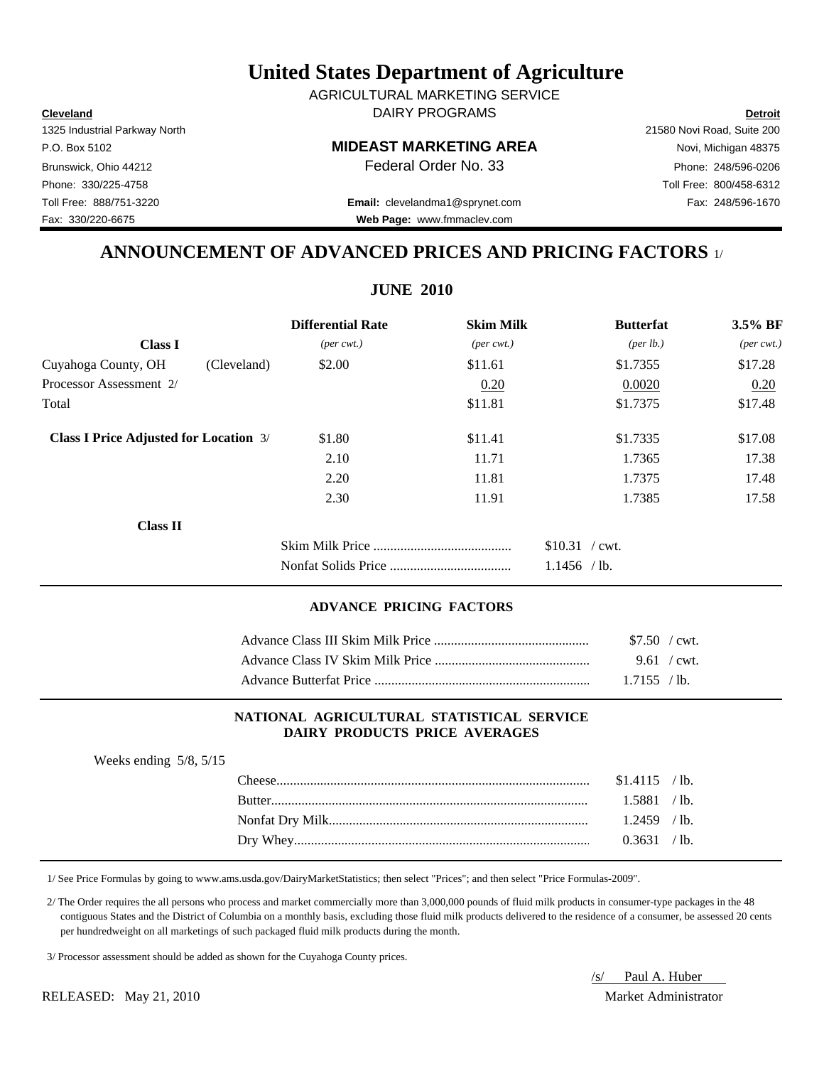**Cleveland Detroit** DAIRY PROGRAMS AGRICULTURAL MARKETING SERVICE

## P.O. Box 5102 **MIDEAST MARKETING AREA** Novi, Michigan 48375

Toll Free: 888/751-3220 Fax: 248/596-1670 **Email:** clevelandma1@sprynet.com **Web Page:** www.fmmaclev.com

## **ANNOUNCEMENT OF ADVANCED PRICES AND PRICING FACTORS** 1/

|                                               |             | <b>Differential Rate</b>    | <b>Skim Milk</b>            | <b>Butterfat</b>     | $3.5\%$ BF                  |
|-----------------------------------------------|-------------|-----------------------------|-----------------------------|----------------------|-----------------------------|
| <b>Class I</b>                                |             | $(\text{per} \text{ cwt.})$ | $(\text{per} \text{ cwt.})$ | ${\rm (per \, lb.)}$ | $(\text{per} \text{ cwt.})$ |
| Cuyahoga County, OH                           | (Cleveland) | \$2.00                      | \$11.61                     | \$1.7355             | \$17.28                     |
| Processor Assessment 2/                       |             |                             | 0.20                        | 0.0020               | 0.20                        |
| Total                                         |             |                             | \$11.81                     | \$1.7375             | \$17.48                     |
| <b>Class I Price Adjusted for Location 3/</b> |             | \$1.80                      | \$11.41                     | \$1.7335             | \$17.08                     |
|                                               |             | 2.10                        | 11.71                       | 1.7365               | 17.38                       |
|                                               |             | 2.20                        | 11.81                       | 1.7375               | 17.48                       |
|                                               |             | 2.30                        | 11.91                       | 1.7385               | 17.58                       |
| <b>Class II</b>                               |             |                             |                             |                      |                             |
|                                               |             |                             |                             | $$10.31$ / cwt.      |                             |
|                                               |             |                             |                             | $1.1456$ /lb.        |                             |
|                                               |             |                             |                             |                      |                             |

## **ADVANCE PRICING FACTORS**

| \$7.50 / cwt. |
|---------------|
| 9.61 / cwt.   |
| $1.7155$ /lb. |

### **NATIONAL AGRICULTURAL STATISTICAL SERVICE DAIRY PRODUCTS PRICE AVERAGES**

| Weeks ending $5/8$ , $5/15$ |                |  |
|-----------------------------|----------------|--|
|                             | $$1.4115$ /lb. |  |
|                             | 1.5881 / lb.   |  |
|                             | $1.2459$ /lb.  |  |
|                             | 0.3631 / lb.   |  |
|                             |                |  |

1/ See Price Formulas by going to www.ams.usda.gov/DairyMarketStatistics; then select "Prices"; and then select "Price Formulas-2009".

 2/ The Order requires the all persons who process and market commercially more than 3,000,000 pounds of fluid milk products in consumer-type packages in the 48 contiguous States and the District of Columbia on a monthly basis, excluding those fluid milk products delivered to the residence of a consumer, be assessed 20 cents per hundredweight on all marketings of such packaged fluid milk products during the month.

3/ Processor assessment should be added as shown for the Cuyahoga County prices.

/s/ Paul A. Huber

#### RELEASED: May 21, 2010 Market Administrator

1325 Industrial Parkway North 21580 Novi Road, Suite 200 Brunswick, Ohio 44212 **Phone: 248/596-0206 Federal Order No. 33** Phone: 248/596-0206 Phone: 330/225-4758 Toll Free: 800/458-6312 Fax: 330/220-6675

## **JUNE 2010**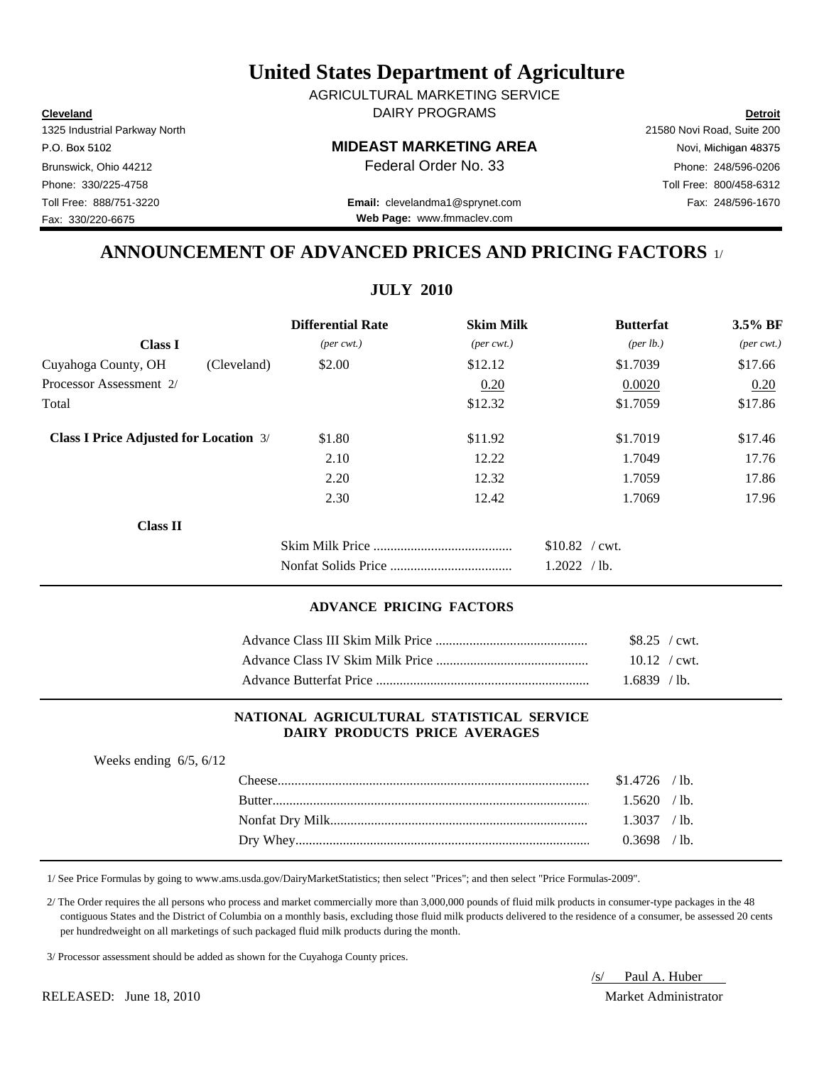**Cleveland Detroit** DAIRY PROGRAMS AGRICULTURAL MARKETING SERVICE

#### P.O. Box 5102 Novi, Michigan 48375

Toll Free: 888/751-3220 Fax: 248/596-1670 **Email:** clevelandma1@sprynet.com **Web Page:** www.fmmaclev.com

## **ANNOUNCEMENT OF ADVANCED PRICES AND PRICING FACTORS** 1/

**JULY 2010**

|                                               |             | <b>Differential Rate</b>    | <b>Skim Milk</b>            | <b>Butterfat</b>   | 3.5% BF                     |
|-----------------------------------------------|-------------|-----------------------------|-----------------------------|--------------------|-----------------------------|
| <b>Class I</b>                                |             | $(\text{per} \text{ cwt.})$ | $(\text{per} \text{ cwt.})$ | $(\text{per lb.})$ | $(\text{per} \text{ cwt.})$ |
| Cuyahoga County, OH                           | (Cleveland) | \$2.00                      | \$12.12                     | \$1.7039           | \$17.66                     |
| Processor Assessment 2/                       |             |                             | 0.20                        | 0.0020             | 0.20                        |
| Total                                         |             |                             | \$12.32                     | \$1.7059           | \$17.86                     |
| <b>Class I Price Adjusted for Location 3/</b> |             | \$1.80                      | \$11.92                     | \$1.7019           | \$17.46                     |
|                                               |             | 2.10                        | 12.22                       | 1.7049             | 17.76                       |
|                                               |             | 2.20                        | 12.32                       | 1.7059             | 17.86                       |
|                                               |             | 2.30                        | 12.42                       | 1.7069             | 17.96                       |
| <b>Class II</b>                               |             |                             |                             |                    |                             |
|                                               |             |                             |                             | $$10.82$ / cwt.    |                             |
|                                               |             |                             |                             | 1.2022 / lb.       |                             |
|                                               |             |                             |                             |                    |                             |

## **ADVANCE PRICING FACTORS**

| $$8.25$ / cwt.         |  |
|------------------------|--|
| $10.12 / \text{cwt}$ . |  |
| $1.6839$ /lb.          |  |

### **NATIONAL AGRICULTURAL STATISTICAL SERVICE DAIRY PRODUCTS PRICE AVERAGES**

| Weeks ending $6/5$ , $6/12$ |                |  |
|-----------------------------|----------------|--|
|                             | $$1.4726$ /lb. |  |
|                             | $1.5620$ /lb.  |  |
|                             | 1.3037 / h.    |  |
|                             | $0.3698$ /lb.  |  |
|                             |                |  |

1/ See Price Formulas by going to www.ams.usda.gov/DairyMarketStatistics; then select "Prices"; and then select "Price Formulas-2009".

 2/ The Order requires the all persons who process and market commercially more than 3,000,000 pounds of fluid milk products in consumer-type packages in the 48 contiguous States and the District of Columbia on a monthly basis, excluding those fluid milk products delivered to the residence of a consumer, be assessed 20 cents per hundredweight on all marketings of such packaged fluid milk products during the month.

3/ Processor assessment should be added as shown for the Cuyahoga County prices.

/s/ Paul A. Huber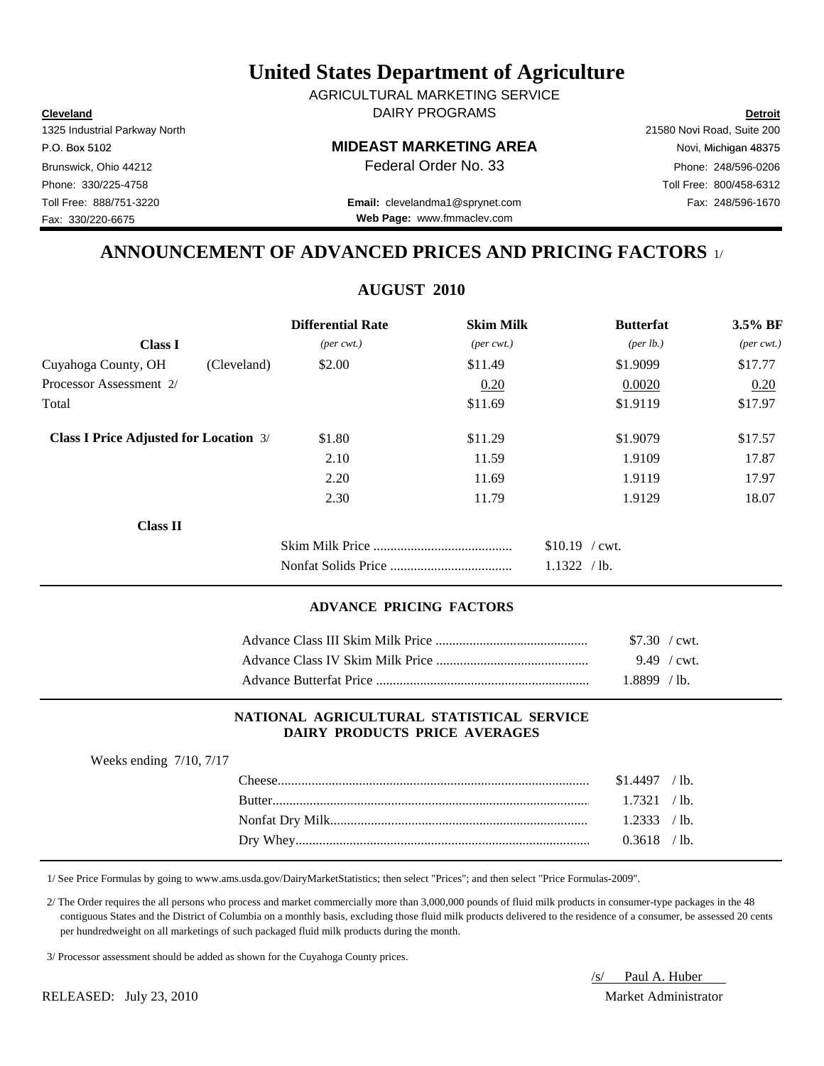**Cleveland Detroit** DAIRY PROGRAMS AGRICULTURAL MARKETING SERVICE

#### P.O. Box 5102 Novi, Michigan 48375

Toll Free: 888/751-3220 Fax: 248/596-1670 **Email:** clevelandma1@sprynet.com **Web Page:** www.fmmaclev.com

## **ANNOUNCEMENT OF ADVANCED PRICES AND PRICING FACTORS** 1/

**AUGUST 2010**

|                                               | <b>Differential Rate</b>    | <b>Skim Milk</b>            | <b>Butterfat</b>     | 3.5% BF                     |
|-----------------------------------------------|-----------------------------|-----------------------------|----------------------|-----------------------------|
| <b>Class I</b>                                | $(\text{per} \text{ cwt.})$ | $(\text{per} \text{ cwt.})$ | ${\rm (per \, lb.)}$ | $(\text{per} \text{ cwt.})$ |
| Cuyahoga County, OH<br>(Cleveland)            | \$2.00                      | \$11.49                     | \$1.9099             | \$17.77                     |
| Processor Assessment 2/                       |                             | 0.20                        | 0.0020               | 0.20                        |
| Total                                         |                             | \$11.69                     | \$1.9119             | \$17.97                     |
| <b>Class I Price Adjusted for Location 3/</b> | \$1.80                      | \$11.29                     | \$1,9079             | \$17.57                     |
|                                               | 2.10                        | 11.59                       | 1.9109               | 17.87                       |
|                                               | 2.20                        | 11.69                       | 1.9119               | 17.97                       |
|                                               | 2.30                        | 11.79                       | 1.9129               | 18.07                       |
| <b>Class II</b>                               |                             |                             |                      |                             |
|                                               |                             |                             | $$10.19$ / cwt.      |                             |
|                                               |                             |                             | 1.1322<br>$/$ lb.    |                             |

## **ADVANCE PRICING FACTORS**

| $$7.30$ / cwt. |
|----------------|
|                |
| 1.8899 / lb.   |

### **NATIONAL AGRICULTURAL STATISTICAL SERVICE DAIRY PRODUCTS PRICE AVERAGES**

| Weeks ending $7/10$ , $7/17$ |                |  |
|------------------------------|----------------|--|
|                              | $$1.4497$ /lb. |  |
|                              | $1.7321$ /lb.  |  |
|                              |                |  |
|                              | $0.3618$ /lb.  |  |
|                              |                |  |

1/ See Price Formulas by going to www.ams.usda.gov/DairyMarketStatistics; then select "Prices"; and then select "Price Formulas-2009".

 2/ The Order requires the all persons who process and market commercially more than 3,000,000 pounds of fluid milk products in consumer-type packages in the 48 contiguous States and the District of Columbia on a monthly basis, excluding those fluid milk products delivered to the residence of a consumer, be assessed 20 cents per hundredweight on all marketings of such packaged fluid milk products during the month.

3/ Processor assessment should be added as shown for the Cuyahoga County prices.

RELEASED: July 23, 2010 Market Administrator

# /s/ Paul A. Huber

1325 Industrial Parkway North 21580 Novi Road, Suite 200

Fax: 330/220-6675

Brunswick, Ohio 44212 **Phone: 248/596-0206 Federal Order No. 33** Phone: 248/596-0206 Phone: 330/225-4758 Toll Free: 800/458-6312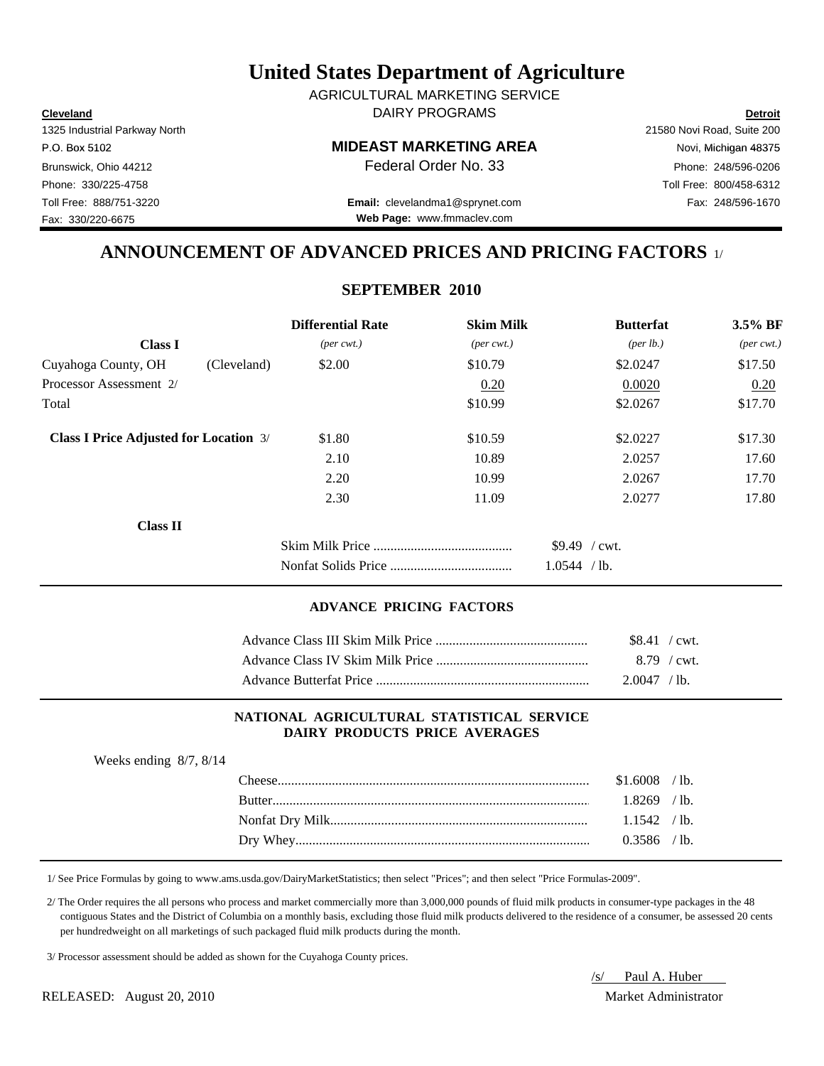**Cleveland Detroit** DAIRY PROGRAMS AGRICULTURAL MARKETING SERVICE

#### P.O. Box 5102 Novi, Michigan 48375

Toll Free: 888/751-3220 Fax: 248/596-1670 **Email:** clevelandma1@sprynet.com **Web Page:** www.fmmaclev.com

## **ANNOUNCEMENT OF ADVANCED PRICES AND PRICING FACTORS** 1/

## **SEPTEMBER 2010**

|                                               |             | <b>Differential Rate</b>    | <b>Skim Milk</b>            | <b>Butterfat</b>               | $3.5\%$ BF                  |
|-----------------------------------------------|-------------|-----------------------------|-----------------------------|--------------------------------|-----------------------------|
| <b>Class I</b>                                |             | $(\text{per} \text{ cwt.})$ | $(\text{per} \text{ cwt.})$ | ${\rm (per \, lb.)}$           | $(\text{per} \text{ cwt.})$ |
| Cuyahoga County, OH                           | (Cleveland) | \$2.00                      | \$10.79                     | \$2.0247                       | \$17.50                     |
| Processor Assessment 2/                       |             |                             | 0.20                        | 0.0020                         | 0.20                        |
| Total                                         |             |                             | \$10.99                     | \$2.0267                       | \$17.70                     |
| <b>Class I Price Adjusted for Location 3/</b> |             | \$1.80                      | \$10.59                     | \$2.0227                       | \$17.30                     |
|                                               |             | 2.10                        | 10.89                       | 2.0257                         | 17.60                       |
|                                               |             | 2.20                        | 10.99                       | 2.0267                         | 17.70                       |
|                                               |             | 2.30                        | 11.09                       | 2.0277                         | 17.80                       |
| <b>Class II</b>                               |             |                             |                             |                                |                             |
|                                               |             |                             |                             | $$9.49$ / cwt.<br>1.0544 / lb. |                             |

### **ADVANCE PRICING FACTORS**

| $$8.41$ / cwt. |  |
|----------------|--|
| 8.79 / cwt.    |  |
| $2.0047$ / lb. |  |

### **NATIONAL AGRICULTURAL STATISTICAL SERVICE DAIRY PRODUCTS PRICE AVERAGES**

| Weeks ending $8/7$ , $8/14$ |                |  |
|-----------------------------|----------------|--|
|                             | $$1.6008$ /lb. |  |
|                             | $1.8269$ /lb.  |  |
|                             | $1.1542$ /lb.  |  |
|                             | $0.3586$ /lb.  |  |
|                             |                |  |

1/ See Price Formulas by going to www.ams.usda.gov/DairyMarketStatistics; then select "Prices"; and then select "Price Formulas-2009".

 2/ The Order requires the all persons who process and market commercially more than 3,000,000 pounds of fluid milk products in consumer-type packages in the 48 contiguous States and the District of Columbia on a monthly basis, excluding those fluid milk products delivered to the residence of a consumer, be assessed 20 cents per hundredweight on all marketings of such packaged fluid milk products during the month.

3/ Processor assessment should be added as shown for the Cuyahoga County prices.

RELEASED: August 20, 2010 Market Administrator

/s/ Paul A. Huber

1325 Industrial Parkway North 21580 Novi Road, Suite 200 Fax: 330/220-6675

Brunswick, Ohio 44212 **Phone: 248/596-0206 Federal Order No. 33** Phone: 248/596-0206 Phone: 330/225-4758 Toll Free: 800/458-6312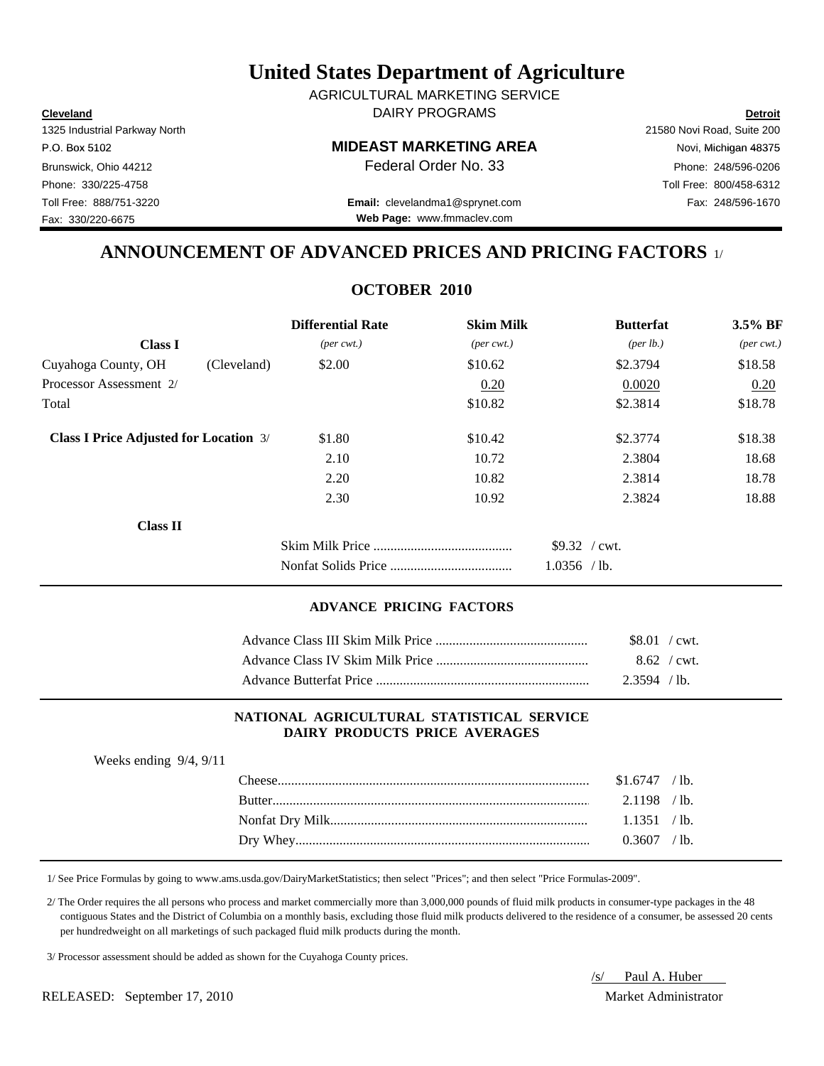**Cleveland Detroit** DAIRY PROGRAMS AGRICULTURAL MARKETING SERVICE

#### P.O. Box 5102 Novi, Michigan 48375

Toll Free: 888/751-3220 Fax: 248/596-1670 **Email:** clevelandma1@sprynet.com **Web Page:** www.fmmaclev.com

## **ANNOUNCEMENT OF ADVANCED PRICES AND PRICING FACTORS** 1/

## **OCTOBER 2010**

|                                               |             | <b>Differential Rate</b>    | <b>Skim Milk</b>            | <b>Butterfat</b>                | 3.5% BF                     |
|-----------------------------------------------|-------------|-----------------------------|-----------------------------|---------------------------------|-----------------------------|
| <b>Class I</b>                                |             | $(\text{per} \text{ cwt.})$ | $(\text{per} \text{ cwt.})$ | ${\rm (per \, lb.)}$            | $(\text{per} \text{ cwt.})$ |
| Cuyahoga County, OH                           | (Cleveland) | \$2.00                      | \$10.62                     | \$2.3794                        | \$18.58                     |
| Processor Assessment 2/                       |             |                             | 0.20                        | 0.0020                          | 0.20                        |
| Total                                         |             |                             | \$10.82                     | \$2.3814                        | \$18.78                     |
| <b>Class I Price Adjusted for Location 3/</b> |             | \$1.80                      | \$10.42                     | \$2.3774                        | \$18.38                     |
|                                               |             | 2.10                        | 10.72                       | 2.3804                          | 18.68                       |
|                                               |             | 2.20                        | 10.82                       | 2.3814                          | 18.78                       |
|                                               |             | 2.30                        | 10.92                       | 2.3824                          | 18.88                       |
| <b>Class II</b>                               |             |                             |                             |                                 |                             |
|                                               |             |                             |                             | $$9.32$ / cwt.<br>$1.0356$ /lb. |                             |

### **ADVANCE PRICING FACTORS**

| $$8.01$ / cwt. |             |
|----------------|-------------|
|                | 8.62 / cwt. |
| $2.3594$ / lb. |             |

### **NATIONAL AGRICULTURAL STATISTICAL SERVICE DAIRY PRODUCTS PRICE AVERAGES**

| Weeks ending $9/4$ , $9/11$ |                  |                |  |
|-----------------------------|------------------|----------------|--|
|                             | $\text{Cheese}.$ | $$1.6747$ /lb. |  |
|                             |                  | $2.1198$ /lb.  |  |
|                             |                  | 1.1351 / lb.   |  |
|                             |                  | $0.3607$ /lb.  |  |
|                             |                  |                |  |

1/ See Price Formulas by going to www.ams.usda.gov/DairyMarketStatistics; then select "Prices"; and then select "Price Formulas-2009".

 2/ The Order requires the all persons who process and market commercially more than 3,000,000 pounds of fluid milk products in consumer-type packages in the 48 contiguous States and the District of Columbia on a monthly basis, excluding those fluid milk products delivered to the residence of a consumer, be assessed 20 cents per hundredweight on all marketings of such packaged fluid milk products during the month.

3/ Processor assessment should be added as shown for the Cuyahoga County prices.

/s/ Paul A. Huber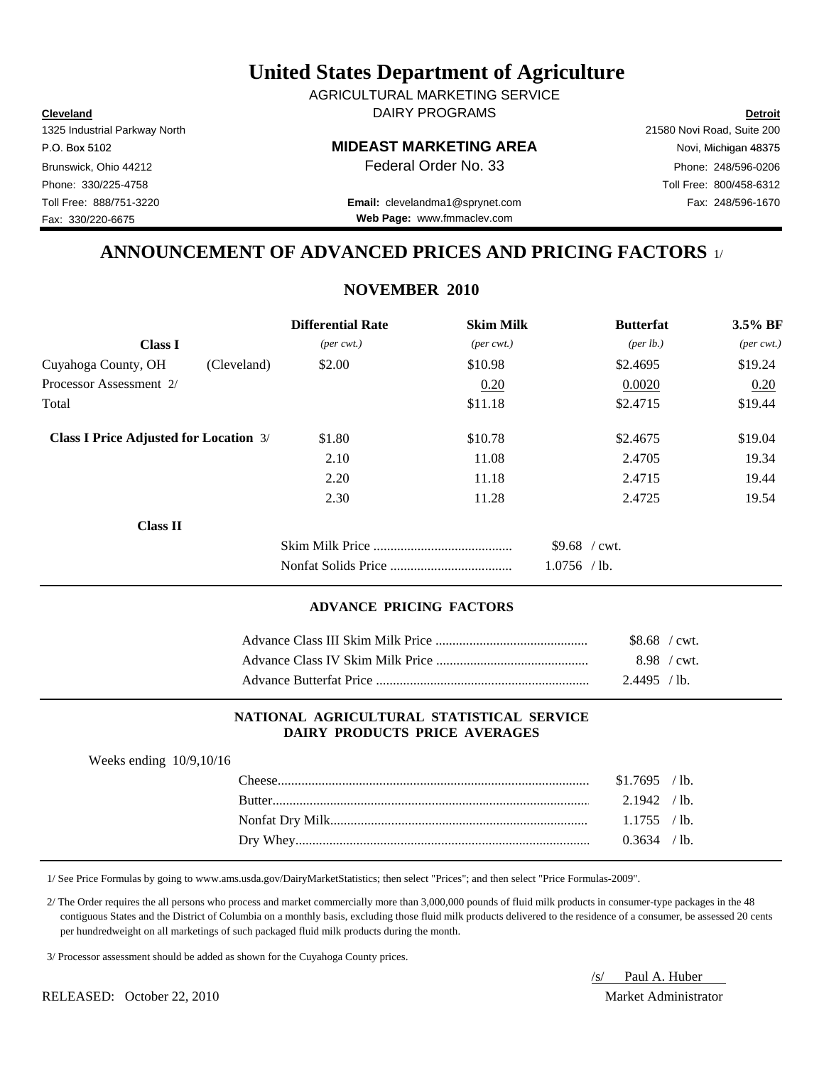**Cleveland Detroit** DAIRY PROGRAMS AGRICULTURAL MARKETING SERVICE

#### P.O. Box 5102 Novi, Michigan 48375

Toll Free: 888/751-3220 Fax: 248/596-1670 **Email:** clevelandma1@sprynet.com **Web Page:** www.fmmaclev.com

## **ANNOUNCEMENT OF ADVANCED PRICES AND PRICING FACTORS** 1/

## **NOVEMBER 2010**

|                                               | <b>Differential Rate</b>    | <b>Skim Milk</b>            | <b>Butterfat</b>                | $3.5\%$ BF                  |
|-----------------------------------------------|-----------------------------|-----------------------------|---------------------------------|-----------------------------|
| <b>Class I</b>                                | $(\text{per} \text{ cwt.})$ | $(\text{per} \text{ cwt.})$ | ${\rm (per \, lb.)}$            | $(\text{per} \text{ cwt.})$ |
| Cuyahoga County, OH                           | \$2.00<br>(Cleveland)       | \$10.98                     | \$2.4695                        | \$19.24                     |
| Processor Assessment 2/                       |                             | 0.20                        | 0.0020                          | 0.20                        |
| Total                                         |                             | \$11.18                     | \$2.4715                        | \$19.44                     |
| <b>Class I Price Adjusted for Location 3/</b> | \$1.80                      | \$10.78                     | \$2.4675                        | \$19.04                     |
|                                               | 2.10                        | 11.08                       | 2.4705                          | 19.34                       |
|                                               | 2.20                        | 11.18                       | 2.4715                          | 19.44                       |
|                                               | 2.30                        | 11.28                       | 2.4725                          | 19.54                       |
| <b>Class II</b>                               |                             |                             |                                 |                             |
|                                               |                             |                             | $$9.68$ / cwt.<br>$1.0756$ /lb. |                             |

## **ADVANCE PRICING FACTORS**

| $$8.68$ / cwt. |  |
|----------------|--|
| 8.98 / cwt.    |  |
| $2.4495$ / lb. |  |

### **NATIONAL AGRICULTURAL STATISTICAL SERVICE DAIRY PRODUCTS PRICE AVERAGES**

| Weeks ending $10/9, 10/16$ |                |  |
|----------------------------|----------------|--|
|                            | $$1.7695$ /lb. |  |
|                            | $2.1942$ /lb.  |  |
|                            |                |  |
|                            | $0.3634$ /lb.  |  |

1/ See Price Formulas by going to www.ams.usda.gov/DairyMarketStatistics; then select "Prices"; and then select "Price Formulas-2009".

 2/ The Order requires the all persons who process and market commercially more than 3,000,000 pounds of fluid milk products in consumer-type packages in the 48 contiguous States and the District of Columbia on a monthly basis, excluding those fluid milk products delivered to the residence of a consumer, be assessed 20 cents per hundredweight on all marketings of such packaged fluid milk products during the month.

3/ Processor assessment should be added as shown for the Cuyahoga County prices.

RELEASED: October 22, 2010 Market Administrator

/s/ Paul A. Huber

Fax: 330/220-6675